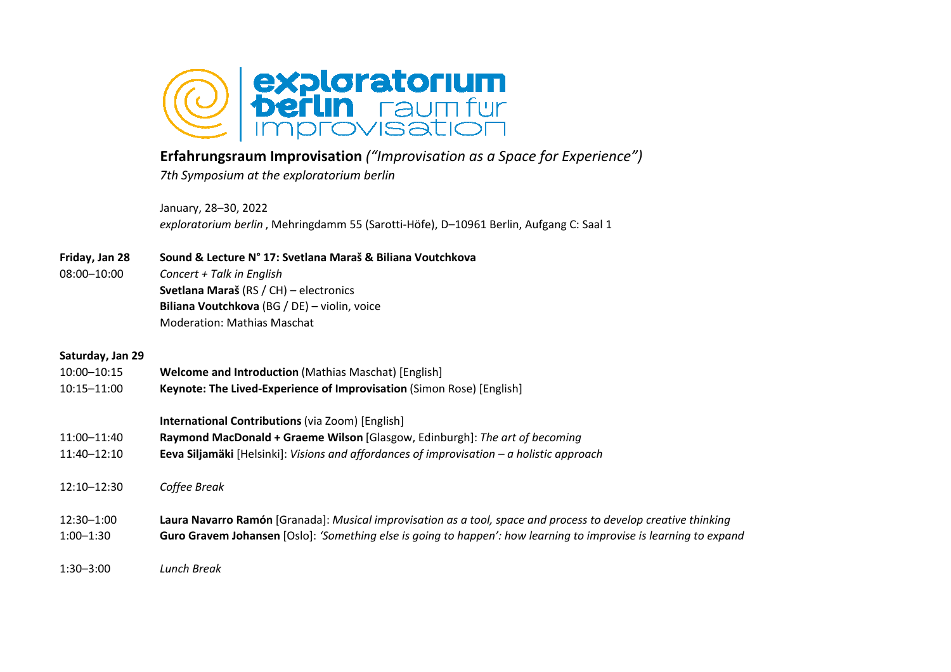

## **Erfahrungsraum Improvisation** *("Improvisation as a Space for Experience")*

*7th Symposium at the exploratorium berlin*

January, 28–30, 2022*exploratorium berlin* , Mehringdamm 55 (Sarotti-Höfe), D–10961 Berlin, Aufgang C: Saal 1

## **Friday, Jan 28 Sound & Lecture N° 17: Svetlana Maraš & Biliana Voutchkova**

08:00–10:00 *Concert + Talk in English* **Svetlana Maraš** (RS / CH) – electronics **Biliana Voutchkova** (BG / DE) – violin, voiceModeration: Mathias Maschat

## **Saturday, Jan 29**

10:00–10:15**Welcome and Introduction (Mathias Maschat) [English]** 10:15–11:00 **Keynote: The Lived-Experience of Improvisation** (Simon Rose) [English] **International Contributions** (via Zoom) [English]11:00–11:40 **Raymond MacDonald + Graeme Wilson** [Glasgow, Edinburgh]: *The art of becoming* **Eeva Siljamäki** [Helsinki]: *Visions and affordances of improvisation – a holistic approach*11:40–12:1012:10–12:30 *Coffee Break* 12:30–1:00 **Laura Navarro Ramón** [Granada]: *Musical improvisation as a tool, space and process to develop creative thinking* **Guro Gravem Johansen** [Oslo]: *'Something else is going to happen': how learning to improvise is learning to expand*1:00–1:30

1:30–3:00*Lunch Break*